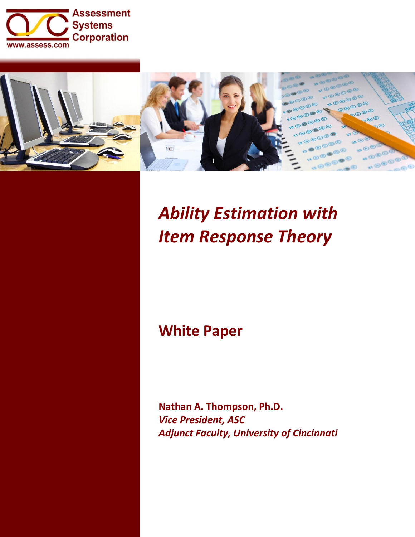



# *Ability Estimation with Item Response Theory*

# **White Paper**

**Nathan A. Thompson, Ph.D.** *Vice President, ASC Adjunct Faculty, University of Cincinnati*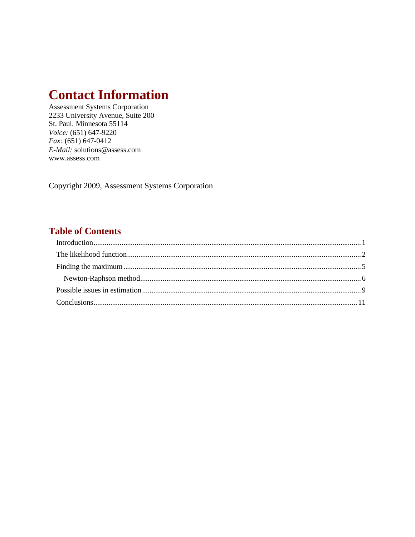## **Contact Information**

**Assessment Systems Corporation** 2233 University Avenue, Suite 200 St. Paul, Minnesota 55114 Voice: (651) 647-9220  $Fax: (651) 647-0412$ E-Mail: solutions@assess.com www.assess.com

Copyright 2009, Assessment Systems Corporation

### **Table of Contents**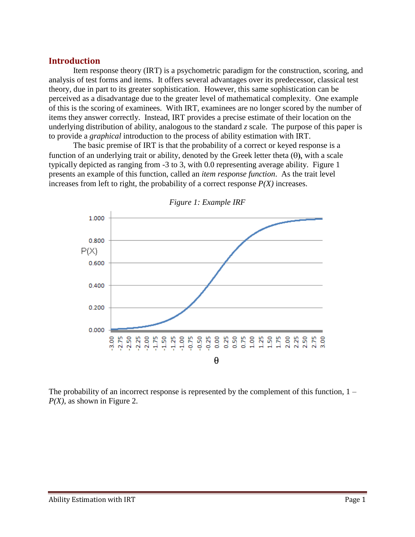#### <span id="page-2-0"></span>**Introduction**

Item response theory (IRT) is a psychometric paradigm for the construction, scoring, and analysis of test forms and items. It offers several advantages over its predecessor, classical test theory, due in part to its greater sophistication. However, this same sophistication can be perceived as a disadvantage due to the greater level of mathematical complexity. One example of this is the scoring of examinees. With IRT, examinees are no longer scored by the number of items they answer correctly. Instead, IRT provides a precise estimate of their location on the underlying distribution of ability, analogous to the standard  $\zeta$  scale. The purpose of this paper is to provide a *graphical* introduction to the process of ability estimation with IRT.

The basic premise of IRT is that the probability of a correct or keyed response is a function of an underlying trait or ability, denoted by the Greek letter theta  $(\theta)$ , with a scale typically depicted as ranging from -3 to 3, with 0.0 representing average ability. Figure 1 presents an example of this function, called an *item response function*. As the trait level increases from left to right, the probability of a correct response  $P(X)$  increases.



*Figure 1: Example IRF*

The probability of an incorrect response is represented by the complement of this function, 1 – *P(X)*, as shown in Figure 2.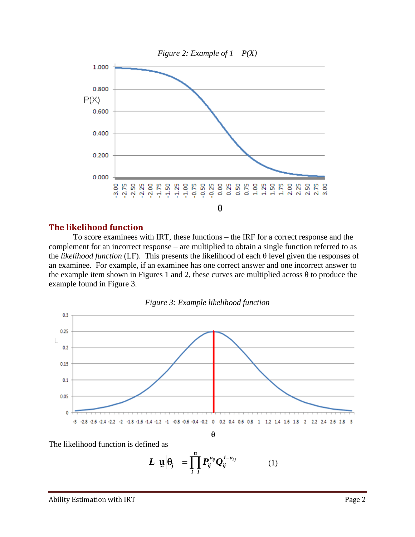

#### <span id="page-3-0"></span>**The likelihood function**

To score examinees with IRT, these functions – the IRF for a correct response and the complement for an incorrect response – are multiplied to obtain a single function referred to as the *likelihood function* (LF). This presents the likelihood of each θ level given the responses of an examinee. For example, if an examinee has one correct answer and one incorrect answer to the example item shown in Figures 1 and 2, these curves are multiplied across  $\theta$  to produce the example found in Figure 3.



The likelihood function is defined as

$$
L \underline{u} \Big| \theta_j = \prod_{i=1}^n P_{ij}^{u_{ij}} Q_{ij}^{1-u_{ij}} \qquad (1)
$$

 $-3$   $-2.8$   $-2.6$   $-2.4$   $-2.2$   $-2.4$   $-2.6$   $-2.6$   $-2.6$   $-2.6$   $-1.8$   $-1.6$   $-1.2$   $-1.6$   $-1.2$   $-1.6$   $-1.2$   $-1.2$   $-1.2$   $-1.2$   $-1.2$   $-1.2$   $-1.2$   $-1.2$   $-1.2$   $-1.2$   $-1.2$   $-1.2$ θ

0.05

 $0$ .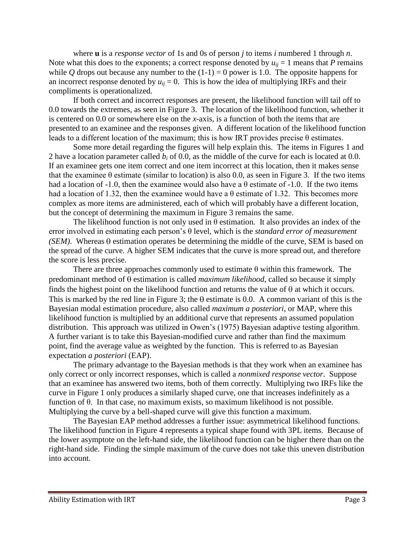where **u** is a *response vector* of 1s and 0s of person *j* to items *i* numbered 1 through *n*. Note what this does to the exponents; a correct response denoted by  $u_{ii} = 1$  means that *P* remains while *Q* drops out because any number to the  $(1-1) = 0$  power is 1.0. The opposite happens for an incorrect response denoted by  $u_{ij} = 0$ . This is how the idea of multiplying IRFs and their compliments is operationalized.

If both correct and incorrect responses are present, the likelihood function will tail off to 0.0 towards the extremes, as seen in Figure 3. The location of the likelihood function, whether it is centered on 0.0 or somewhere else on the *x*-axis, is a function of both the items that are presented to an examinee and the responses given. A different location of the likelihood function leads to a different location of the maximum; this is how IRT provides precise θ estimates.

Some more detail regarding the figures will help explain this. The items in Figures 1 and 2 have a location parameter called *b<sup>i</sup>* of 0.0, as the middle of the curve for each is located at 0.0. If an examinee gets one item correct and one item incorrect at this location, then it makes sense that the examinee  $\theta$  estimate (similar to location) is also 0.0, as seen in Figure 3. If the two items had a location of -1.0, then the examinee would also have a  $\theta$  estimate of -1.0. If the two items had a location of 1.32, then the examinee would have a  $\theta$  estimate of 1.32. This becomes more complex as more items are administered, each of which will probably have a different location, but the concept of determining the maximum in Figure 3 remains the same.

The likelihood function is not only used in  $\theta$  estimation. It also provides an index of the error involved in estimating each person's θ level, which is the *standard error of measurement (SEM)*. Whereas  $\theta$  estimation operates be determining the middle of the curve, SEM is based on the spread of the curve. A higher SEM indicates that the curve is more spread out, and therefore the score is less precise.

There are three approaches commonly used to estimate  $\theta$  within this framework. The predominant method of  $\theta$  estimation is called *maximum likelihood*, called so because it simply finds the highest point on the likelihood function and returns the value of  $\theta$  at which it occurs. This is marked by the red line in Figure 3; the  $\theta$  estimate is 0.0. A common variant of this is the Bayesian modal estimation procedure, also called *maximum a posteriori*, or MAP, where this likelihood function is multiplied by an additional curve that represents an assumed population distribution. This approach was utilized in Owen's (1975) Bayesian adaptive testing algorithm. A further variant is to take this Bayesian-modified curve and rather than find the maximum point, find the average value as weighted by the function. This is referred to as Bayesian expectation *a posteriori* (EAP).

The primary advantage to the Bayesian methods is that they work when an examinee has only correct or only incorrect responses, which is called a *nonmixed response vector*. Suppose that an examinee has answered two items, both of them correctly. Multiplying two IRFs like the curve in Figure 1 only produces a similarly shaped curve, one that increases indefinitely as a function of θ. In that case, no maximum exists, so maximum likelihood is not possible. Multiplying the curve by a bell-shaped curve will give this function a maximum.

The Bayesian EAP method addresses a further issue: asymmetrical likelihood functions. The likelihood function in Figure 4 represents a typical shape found with 3PL items. Because of the lower asymptote on the left-hand side, the likelihood function can be higher there than on the right-hand side. Finding the simple maximum of the curve does not take this uneven distribution into account.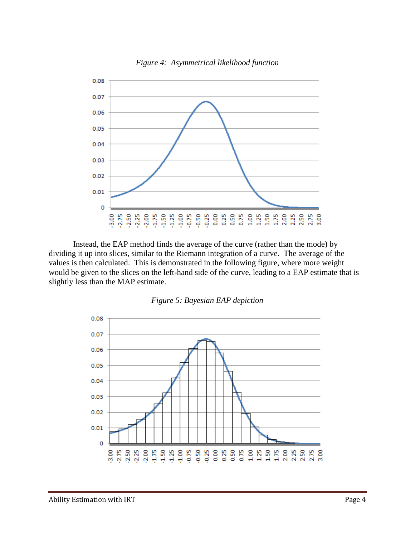

*Figure 4: Asymmetrical likelihood function*

Instead, the EAP method finds the average of the curve (rather than the mode) by dividing it up into slices, similar to the Riemann integration of a curve. The average of the values is then calculated. This is demonstrated in the following figure, where more weight would be given to the slices on the left-hand side of the curve, leading to a EAP estimate that is slightly less than the MAP estimate.



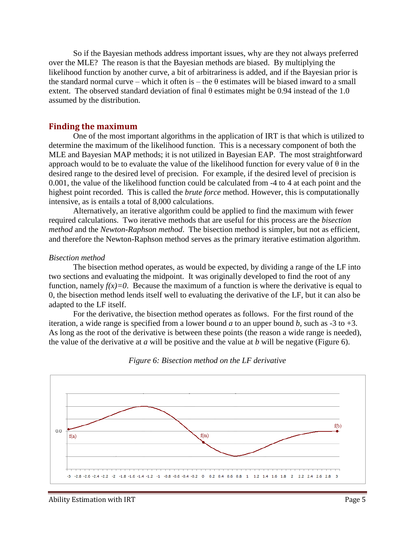So if the Bayesian methods address important issues, why are they not always preferred over the MLE? The reason is that the Bayesian methods are biased. By multiplying the likelihood function by another curve, a bit of arbitrariness is added, and if the Bayesian prior is the standard normal curve – which it often is – the  $\theta$  estimates will be biased inward to a small extent. The observed standard deviation of final  $\theta$  estimates might be 0.94 instead of the 1.0 assumed by the distribution.

#### <span id="page-6-0"></span>**Finding the maximum**

One of the most important algorithms in the application of IRT is that which is utilized to determine the maximum of the likelihood function. This is a necessary component of both the MLE and Bayesian MAP methods; it is not utilized in Bayesian EAP. The most straightforward approach would to be to evaluate the value of the likelihood function for every value of  $\theta$  in the desired range to the desired level of precision. For example, if the desired level of precision is 0.001, the value of the likelihood function could be calculated from -4 to 4 at each point and the highest point recorded. This is called the *brute force* method. However, this is computationally intensive, as is entails a total of 8,000 calculations.

Alternatively, an iterative algorithm could be applied to find the maximum with fewer required calculations. Two iterative methods that are useful for this process are the *bisection method* and the *Newton-Raphson method*. The bisection method is simpler, but not as efficient, and therefore the Newton-Raphson method serves as the primary iterative estimation algorithm.

#### *Bisection method*

The bisection method operates, as would be expected, by dividing a range of the LF into two sections and evaluating the midpoint. It was originally developed to find the root of any function, namely  $f(x)=0$ . Because the maximum of a function is where the derivative is equal to 0, the bisection method lends itself well to evaluating the derivative of the LF, but it can also be adapted to the LF itself.

For the derivative, the bisection method operates as follows. For the first round of the iteration, a wide range is specified from a lower bound *a* to an upper bound *b*, such as  $-3$  to  $+3$ . As long as the root of the derivative is between these points (the reason a wide range is needed), the value of the derivative at *a* will be positive and the value at *b* will be negative (Figure 6).



*Figure 6: Bisection method on the LF derivative*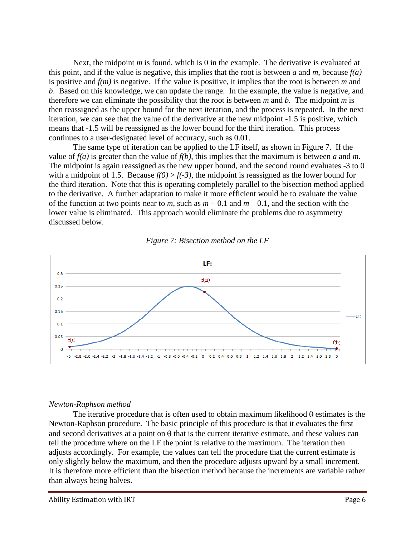Next, the midpoint *m* is found, which is 0 in the example. The derivative is evaluated at this point, and if the value is negative, this implies that the root is between *a* and *m*, because *f(a)* is positive and  $f(m)$  is negative. If the value is positive, it implies that the root is between m and *b*. Based on this knowledge, we can update the range. In the example, the value is negative, and therefore we can eliminate the possibility that the root is between *m* and *b*. The midpoint *m* is then reassigned as the upper bound for the next iteration, and the process is repeated. In the next iteration, we can see that the value of the derivative at the new midpoint -1.5 is positive, which means that -1.5 will be reassigned as the lower bound for the third iteration. This process continues to a user-designated level of accuracy, such as 0.01.

The same type of iteration can be applied to the LF itself, as shown in Figure 7. If the value of  $f(a)$  is greater than the value of  $f(b)$ , this implies that the maximum is between *a* and *m*. The midpoint is again reassigned as the new upper bound, and the second round evaluates -3 to 0 with a midpoint of 1.5. Because  $f(0) > f(-3)$ , the midpoint is reassigned as the lower bound for the third iteration. Note that this is operating completely parallel to the bisection method applied to the derivative. A further adaptation to make it more efficient would be to evaluate the value of the function at two points near to *m*, such as  $m + 0.1$  and  $m - 0.1$ , and the section with the lower value is eliminated. This approach would eliminate the problems due to asymmetry discussed below.





### <span id="page-7-0"></span>*Newton-Raphson method*

The iterative procedure that is often used to obtain maximum likelihood  $\theta$  estimates is the Newton-Raphson procedure. The basic principle of this procedure is that it evaluates the first and second derivatives at a point on  $\theta$  that is the current iterative estimate, and these values can tell the procedure where on the LF the point is relative to the maximum. The iteration then adjusts accordingly. For example, the values can tell the procedure that the current estimate is only slightly below the maximum, and then the procedure adjusts upward by a small increment. It is therefore more efficient than the bisection method because the increments are variable rather than always being halves.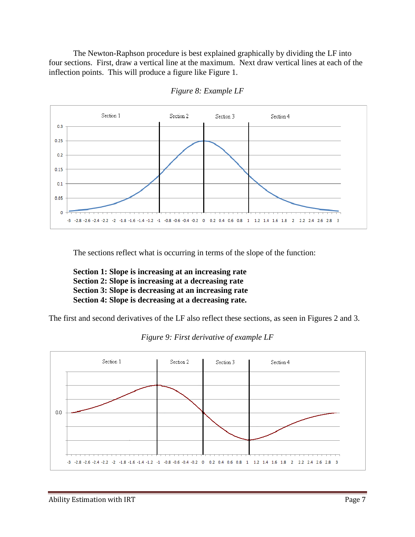The Newton-Raphson procedure is best explained graphically by dividing the LF into four sections. First, draw a vertical line at the maximum. Next draw vertical lines at each of the inflection points. This will produce a figure like Figure 1.



*Figure 8: Example LF*

The sections reflect what is occurring in terms of the slope of the function:

**Section 1: Slope is increasing at an increasing rate Section 2: Slope is increasing at a decreasing rate Section 3: Slope is decreasing at an increasing rate Section 4: Slope is decreasing at a decreasing rate.**

The first and second derivatives of the LF also reflect these sections, as seen in Figures 2 and 3.



*Figure 9: First derivative of example LF*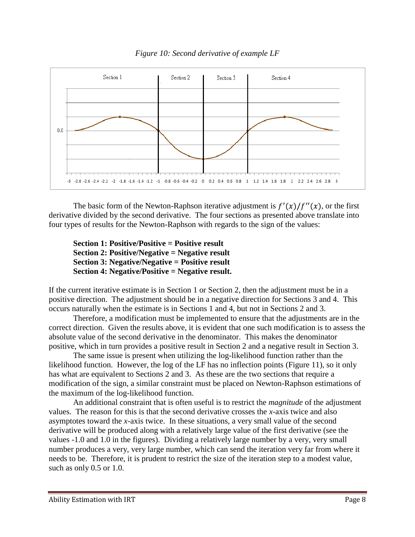

*Figure 10: Second derivative of example LF*

The basic form of the Newton-Raphson iterative adjustment is  $f'(x)/f''(x)$ , or the first derivative divided by the second derivative. The four sections as presented above translate into four types of results for the Newton-Raphson with regards to the sign of the values:

**Section 1: Positive/Positive = Positive result Section 2: Positive/Negative = Negative result Section 3: Negative/Negative = Positive result Section 4: Negative/Positive = Negative result.**

If the current iterative estimate is in Section 1 or Section 2, then the adjustment must be in a positive direction. The adjustment should be in a negative direction for Sections 3 and 4. This occurs naturally when the estimate is in Sections 1 and 4, but not in Sections 2 and 3.

Therefore, a modification must be implemented to ensure that the adjustments are in the correct direction. Given the results above, it is evident that one such modification is to assess the absolute value of the second derivative in the denominator. This makes the denominator positive, which in turn provides a positive result in Section 2 and a negative result in Section 3.

The same issue is present when utilizing the log-likelihood function rather than the likelihood function. However, the log of the LF has no inflection points (Figure 11), so it only has what are equivalent to Sections 2 and 3. As these are the two sections that require a modification of the sign, a similar constraint must be placed on Newton-Raphson estimations of the maximum of the log-likelihood function.

An additional constraint that is often useful is to restrict the *magnitude* of the adjustment values. The reason for this is that the second derivative crosses the *x*-axis twice and also asymptotes toward the *x*-axis twice. In these situations, a very small value of the second derivative will be produced along with a relatively large value of the first derivative (see the values -1.0 and 1.0 in the figures). Dividing a relatively large number by a very, very small number produces a very, very large number, which can send the iteration very far from where it needs to be. Therefore, it is prudent to restrict the size of the iteration step to a modest value, such as only 0.5 or 1.0.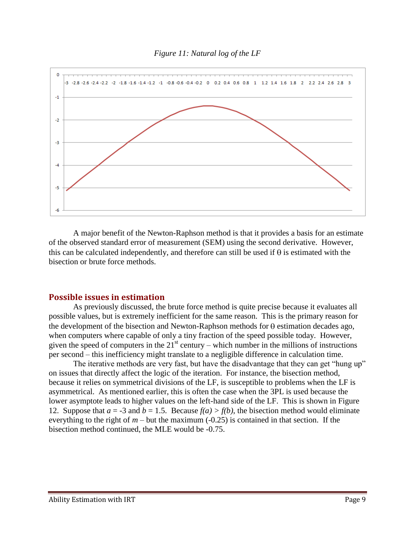#### *Figure 11: Natural log of the LF*



A major benefit of the Newton-Raphson method is that it provides a basis for an estimate of the observed standard error of measurement (SEM) using the second derivative. However, this can be calculated independently, and therefore can still be used if  $\theta$  is estimated with the bisection or brute force methods.

#### <span id="page-10-0"></span>**Possible issues in estimation**

As previously discussed, the brute force method is quite precise because it evaluates all possible values, but is extremely inefficient for the same reason. This is the primary reason for the development of the bisection and Newton-Raphson methods for  $\theta$  estimation decades ago, when computers where capable of only a tiny fraction of the speed possible today. However, given the speed of computers in the  $21<sup>st</sup>$  century – which number in the millions of instructions per second – this inefficiency might translate to a negligible difference in calculation time.

The iterative methods are very fast, but have the disadvantage that they can get "hung up" on issues that directly affect the logic of the iteration. For instance, the bisection method, because it relies on symmetrical divisions of the LF, is susceptible to problems when the LF is asymmetrical. As mentioned earlier, this is often the case when the 3PL is used because the lower asymptote leads to higher values on the left-hand side of the LF. This is shown in Figure 12. Suppose that  $a = -3$  and  $b = 1.5$ . Because  $f(a) > f(b)$ , the bisection method would eliminate everything to the right of  $m$  – but the maximum  $(-0.25)$  is contained in that section. If the bisection method continued, the MLE would be -0.75.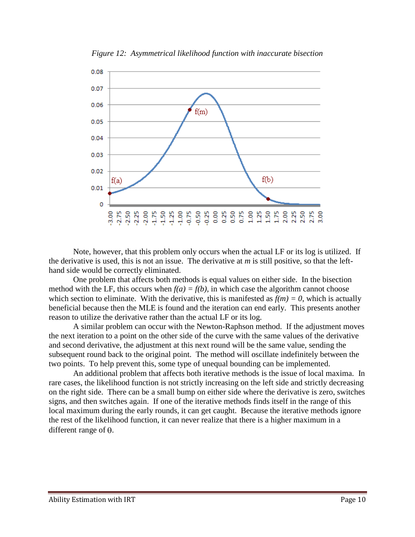

*Figure 12: Asymmetrical likelihood function with inaccurate bisection*

Note, however, that this problem only occurs when the actual LF or its log is utilized. If the derivative is used, this is not an issue. The derivative at *m* is still positive, so that the lefthand side would be correctly eliminated.

One problem that affects both methods is equal values on either side. In the bisection method with the LF, this occurs when  $f(a) = f(b)$ , in which case the algorithm cannot choose which section to eliminate. With the derivative, this is manifested as  $f(m) = 0$ , which is actually beneficial because then the MLE is found and the iteration can end early. This presents another reason to utilize the derivative rather than the actual LF or its log.

A similar problem can occur with the Newton-Raphson method. If the adjustment moves the next iteration to a point on the other side of the curve with the same values of the derivative and second derivative, the adjustment at this next round will be the same value, sending the subsequent round back to the original point. The method will oscillate indefinitely between the two points. To help prevent this, some type of unequal bounding can be implemented.

An additional problem that affects both iterative methods is the issue of local maxima. In rare cases, the likelihood function is not strictly increasing on the left side and strictly decreasing on the right side. There can be a small bump on either side where the derivative is zero, switches signs, and then switches again. If one of the iterative methods finds itself in the range of this local maximum during the early rounds, it can get caught. Because the iterative methods ignore the rest of the likelihood function, it can never realize that there is a higher maximum in a different range of  $\theta$ .